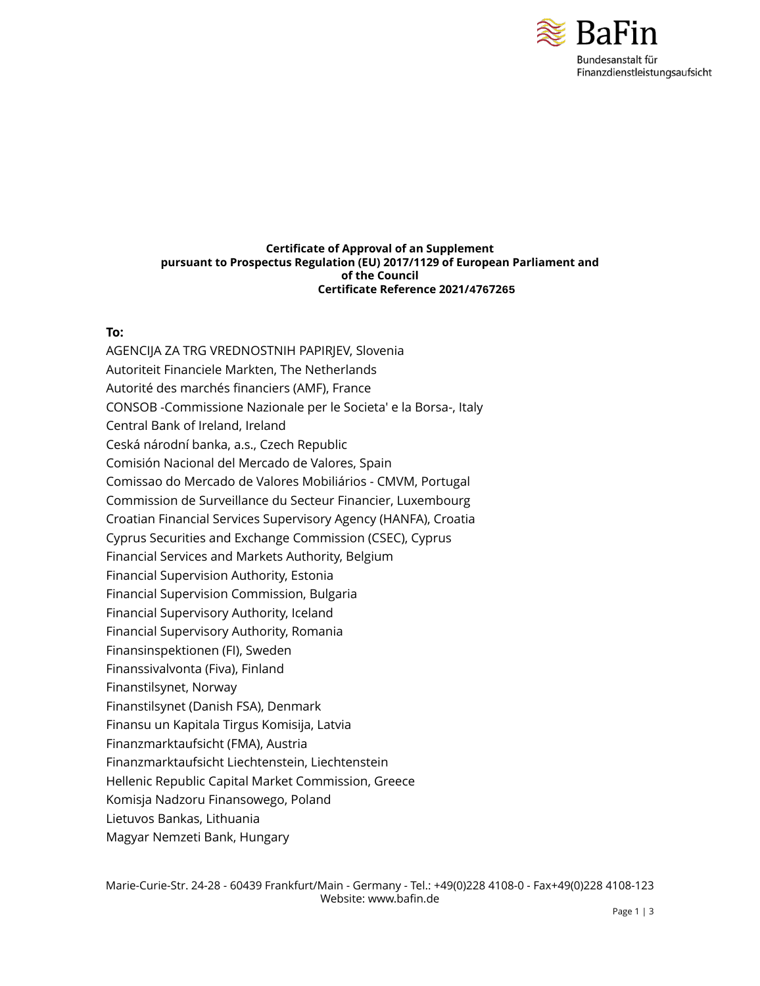

#### **Certificate of Approval of an Supplement pursuant to Prospectus Regulation (EU) 2017/1129 of European Parliament and of the Council Certificate Reference 2021/4767265**

#### **To:**

AGENCIJA ZA TRG VREDNOSTNIH PAPIRJEV, Slovenia Autoriteit Financiele Markten, The Netherlands Autorité des marchés financiers (AMF), France CONSOB -Commissione Nazionale per le Societa' e la Borsa-, Italy Central Bank of Ireland, Ireland Ceská národní banka, a.s., Czech Republic Comisión Nacional del Mercado de Valores, Spain Comissao do Mercado de Valores Mobiliários - CMVM, Portugal Commission de Surveillance du Secteur Financier, Luxembourg Croatian Financial Services Supervisory Agency (HANFA), Croatia Cyprus Securities and Exchange Commission (CSEC), Cyprus Financial Services and Markets Authority, Belgium Financial Supervision Authority, Estonia Financial Supervision Commission, Bulgaria Financial Supervisory Authority, Iceland Financial Supervisory Authority, Romania Finansinspektionen (FI), Sweden Finanssivalvonta (Fiva), Finland Finanstilsynet, Norway Finanstilsynet (Danish FSA), Denmark Finansu un Kapitala Tirgus Komisija, Latvia Finanzmarktaufsicht (FMA), Austria Finanzmarktaufsicht Liechtenstein, Liechtenstein Hellenic Republic Capital Market Commission, Greece Komisja Nadzoru Finansowego, Poland Lietuvos Bankas, Lithuania Magyar Nemzeti Bank, Hungary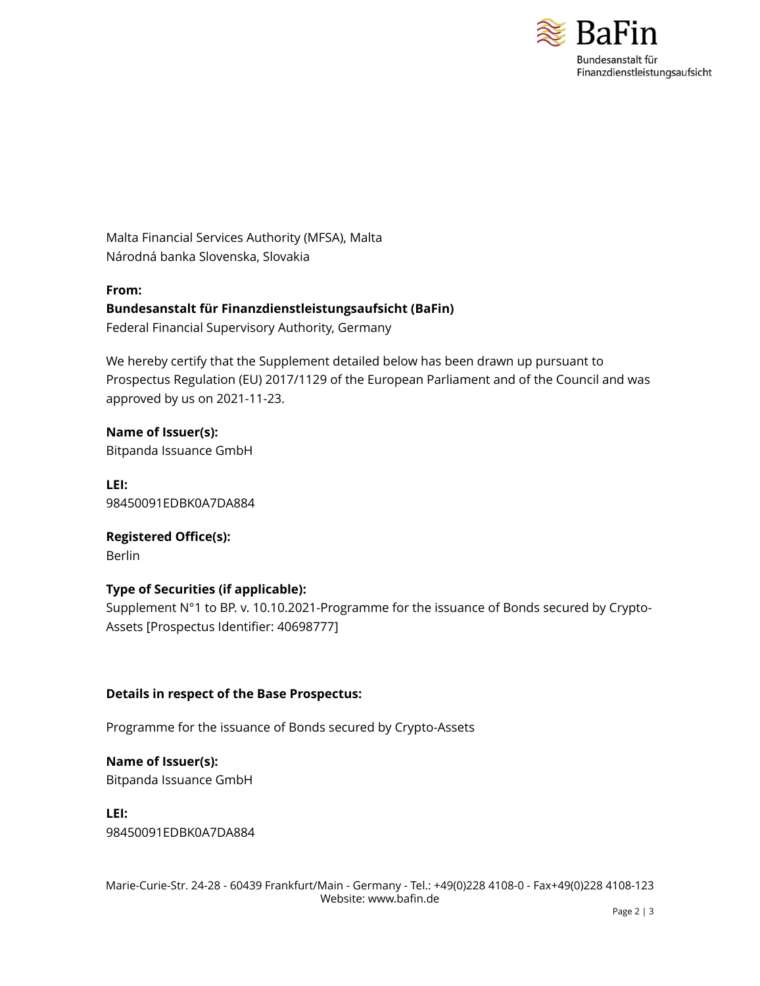

Malta Financial Services Authority (MFSA), Malta Národná banka Slovenska, Slovakia

**From: Bundesanstalt für Finanzdienstleistungsaufsicht (BaFin)** Federal Financial Supervisory Authority, Germany

We hereby certify that the Supplement detailed below has been drawn up pursuant to Prospectus Regulation (EU) 2017/1129 of the European Parliament and of the Council and was approved by us on 2021-11-23.

**Name of Issuer(s):** Bitpanda Issuance GmbH

**LEI:** 98450091EDBK0A7DA884

**Registered Office(s):** Berlin

# **Type of Securities (if applicable):**

Supplement N°1 to BP. v. 10.10.2021-Programme for the issuance of Bonds secured by Crypto-Assets [Prospectus Identifier: 40698777]

# **Details in respect of the Base Prospectus:**

Programme for the issuance of Bonds secured by Crypto-Assets

**Name of Issuer(s):** Bitpanda Issuance GmbH

**LEI:** 98450091EDBK0A7DA884